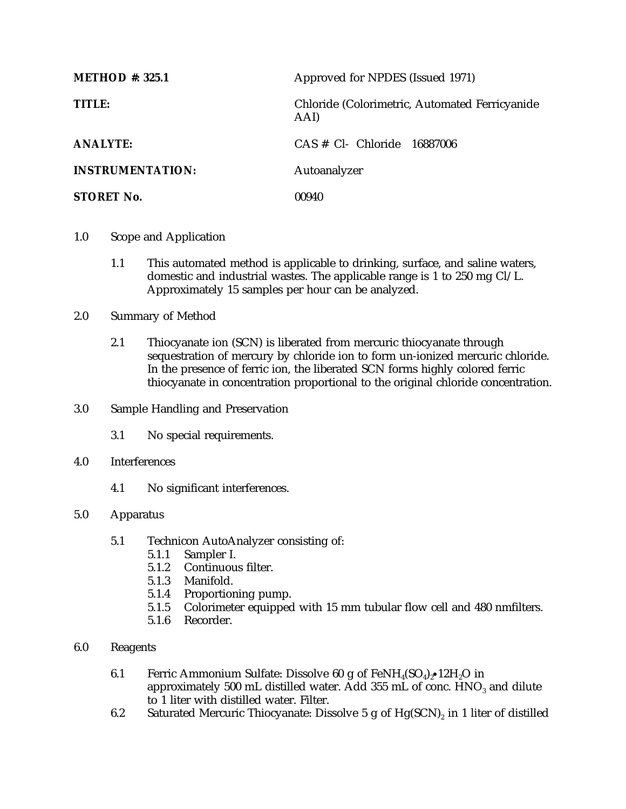| <b>METHOD #: 325.1</b>  | Approved for NPDES (Issued 1971)                       |
|-------------------------|--------------------------------------------------------|
| TITLE:                  | Chloride (Colorimetric, Automated Ferricyanide<br>AAI) |
| <b>ANALYTE:</b>         | $CAS \# CL$ Chloride 16887006                          |
| <b>INSTRUMENTATION:</b> | Autoanalyzer                                           |
| <b>STORET No.</b>       | 00940                                                  |

- 1.0 Scope and Application
	- 1.1 This automated method is applicable to drinking, surface, and saline waters, domestic and industrial wastes. The applicable range is 1 to 250 mg Cl/L. Approximately 15 samples per hour can be analyzed.
- 2.0 Summary of Method
	- 2.1 Thiocyanate ion (SCN) is liberated from mercuric thiocyanate through sequestration of mercury by chloride ion to form un-ionized mercuric chloride. In the presence of ferric ion, the liberated SCN forms highly colored ferric thiocyanate in concentration proportional to the original chloride concentration.
- 3.0 Sample Handling and Preservation
	- 3.1 No special requirements.
- 4.0 Interferences
	- 4.1 No significant interferences.

## 5.0 Apparatus

- 5.1 Technicon AutoAnalyzer consisting of:
	- 5.1.1 Sampler I.
	- 5.1.2 Continuous filter.
	- 5.1.3 Manifold.
	- 5.1.4 Proportioning pump.
	- 5.1.5 Colorimeter equipped with 15 mm tubular flow cell and 480 nmfilters.
	- 5.1.6 Recorder.
- 6.0 Reagents
	- 6.1 Ferric Ammonium Sulfate: Dissolve 60 g of  $FeNH_4(SO_4)_2 \cdot 12H_2O$  in approximately 500 mL distilled water. Add 355 mL of conc.  $HNO<sub>3</sub>$  and dilute to 1 liter with distilled water. Filter.
	- 6.2 Saturated Mercuric Thiocyanate: Dissolve 5 g of  $Hg(SCN)_2$  in 1 liter of distilled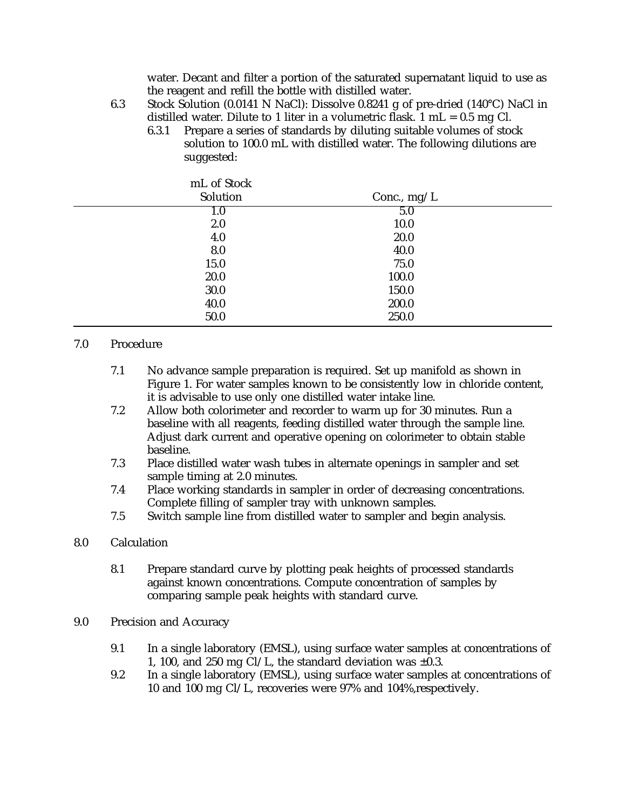water. Decant and filter a portion of the saturated supernatant liquid to use as the reagent and refill the bottle with distilled water.

- 6.3 Stock Solution (0.0141 N NaCl): Dissolve 0.8241 g of pre-dried (140°C) NaCl in distilled water. Dilute to 1 liter in a volumetric flask.  $1 \text{ mL} = 0.5 \text{ mg Cl.}$ 
	- 6.3.1 Prepare a series of standards by diluting suitable volumes of stock solution to 100.0 mL with distilled water. The following dilutions are suggested:

| mL of Stock |               |  |
|-------------|---------------|--|
| Solution    | Conc., $mg/L$ |  |
| 1.0         | 5.0           |  |
| 2.0         | 10.0          |  |
| 4.0         | 20.0          |  |
| 8.0         | 40.0          |  |
| 15.0        | 75.0          |  |
| 20.0        | 100.0         |  |
| 30.0        | 150.0         |  |
| 40.0        | 200.0         |  |
| 50.0        | 250.0         |  |

## 7.0 Procedure

- 7.1 No advance sample preparation is required. Set up manifold as shown in Figure 1. For water samples known to be consistently low in chloride content, it is advisable to use only one distilled water intake line.
- 7.2 Allow both colorimeter and recorder to warm up for 30 minutes. Run a baseline with all reagents, feeding distilled water through the sample line. Adjust dark current and operative opening on colorimeter to obtain stable baseline.
- 7.3 Place distilled water wash tubes in alternate openings in sampler and set sample timing at 2.0 minutes.
- 7.4 Place working standards in sampler in order of decreasing concentrations. Complete filling of sampler tray with unknown samples.
- 7.5 Switch sample line from distilled water to sampler and begin analysis.

## 8.0 Calculation

- 8.1 Prepare standard curve by plotting peak heights of processed standards against known concentrations. Compute concentration of samples by comparing sample peak heights with standard curve.
- 9.0 Precision and Accuracy
	- 9.1 In a single laboratory (EMSL), using surface water samples at concentrations of 1, 100, and 250 mg Cl/L, the standard deviation was  $\pm 0.3$ .
	- 9.2 In a single laboratory (EMSL), using surface water samples at concentrations of 10 and 100 mg Cl/L, recoveries were 97% and 104%,respectively.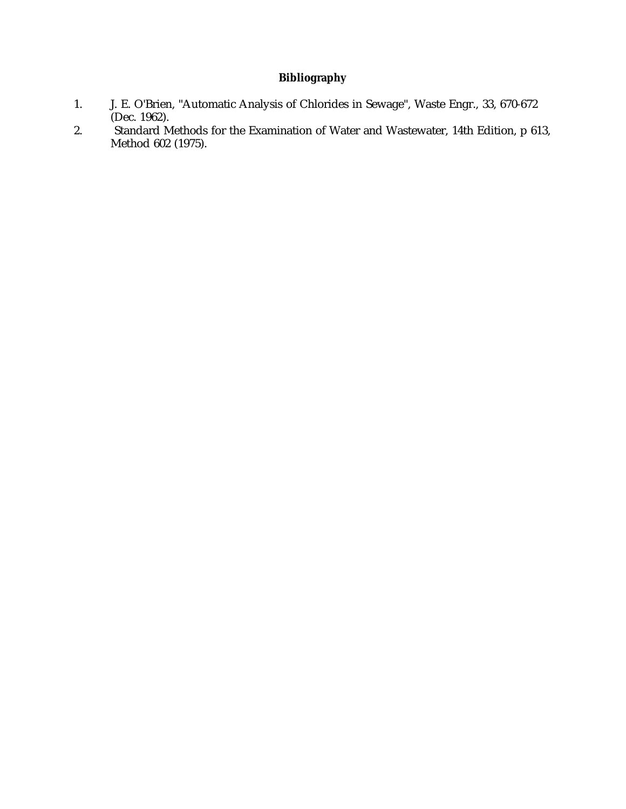## **Bibliography**

- 1. J. E. O'Brien, "Automatic Analysis of Chlorides in Sewage", Waste Engr., 33, 670-672 (Dec. 1962).
- 2. Standard Methods for the Examination of Water and Wastewater, 14th Edition, p 613, Method 602 (1975).